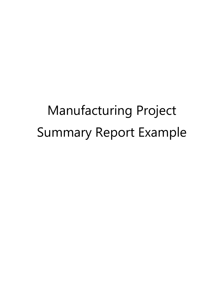# Manufacturing Project Summary Report Example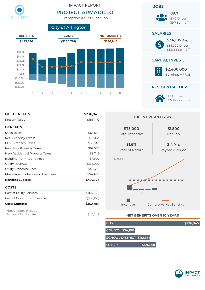

## IMPACT REPORT

# **PROJECT ARMADILLO**

Exemption & \$1,500 per Job





## Present Value \$181,440 **BENEFITS** Sales Taxes  $$65,652$ Real Property Taxes\* by the state of the state state state state state state state state state state state state state state state state state state state state state state state state state state state state state state s FF&E Property Taxes 655,549 Inventory Property Taxes **\$62,558** New Residential Property Taxes **\$8,742** Building Permits and Fees \$7,500 Utility Revenue **\$165,902** Utility Franchise Fees \$46,359 Miscellaneous Taxes and User Fees **\$54,400 Benets Subtotal \$497,726 COSTS** Cost of Utility Services (\$164,618) Cost of Government Services (\$96,163) **Costs Subtotal (\$260,781)** \*Above values exclude

Property Tax Rebate  $$46.249$ 

**NET BENEFITS \$236,945**

**INCENTIVE ANALYSIS**



## **NET BENEFITS OVER 10 YEARS**

**CITY \$236,945 COUNTY \$74,190 SCHOOL DISTRICT \$112,681 OTHER \$126,901**

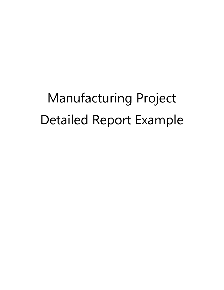# Manufacturing Project Detailed Report Example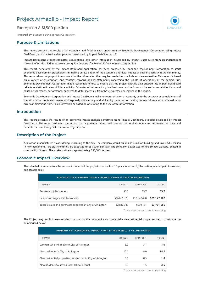# Project Armadillo - Impact Report

## Exemption & \$1,500 per Job

**Prepared By:** Economic Development Corporation

## **Purpose & Limitations**

This report presents the results of an economic and fiscal analysis undertaken by Economic Development Corporation using Impact DashBoard, a customized web application developed by Impact DataSource, LLC.

Impact DashBoard utilizes estimates, assumptions, and other information developed by Impact DataSource from its independent research effort detailed in a custom user guide prepared for Economic Development Corporation.

This report, generated by the Impact DashBoard application, has been prepared by Economic Development Corporation to assist economic development stakeholders in making an evaluation of the economic and fiscal impact of business activity in the community. This report does not purport to contain all of the information that may be needed to conclude such an evaluation. This report is based on a variety of assumptions and contains forward-looking statements concerning the results of operations of the subject firm. Economic Development Corporation made reasonable efforts to ensure that the project-specific data entered into Impact DashBoard reflects realistic estimates of future activity. Estimates of future activity involve known and unknown risks and uncertainties that could cause actual results, performance, or events to differ materially from those expressed or implied in this report.

Economic Development Corporation and Impact DataSource make no representation or warranty as to the accuracy or completeness of the information contained herein, and expressly disclaim any and all liability based on or relating to any information contained in, or errors or omissions from, this information or based on or relating to the use of this information.

## **Introduction**

This report presents the results of an economic impact analysis performed using Impact DashBoard, a model developed by Impact DataSource. The report estimates the impact that a potential project will have on the local economy and estimates the costs and benefits for local taxing districts over a 10-year period.

## **Description of the Project**

A plywood manufacturer is considering relocating to the city. The company would build a \$1.4 million building and invest \$1.0 million in new equipment. Taxable inventories are expected to be \$900k per year. The company is expected to hire 50 new workers, phased in over the first 5 years. The workers will earn approximately \$35,000 per year.

## **Economic Impact Overview**

The table below summarizes the economic impact of the project over the first 10 years in terms of job creation, salaries paid to workers, and taxable sales.

| SUMMARY OF ECONOMIC IMPACT OVER 10 YEARS IN CITY OF ARLINGTON |               |              |              |  |  |  |
|---------------------------------------------------------------|---------------|--------------|--------------|--|--|--|
| <b>IMPACT</b>                                                 | <b>DIRECT</b> | SPIN-OFF     | <b>TOTAL</b> |  |  |  |
| Permanent jobs created                                        | 50.0          | 39.7         | 89.7         |  |  |  |
| Salaries or wages paid to workers                             | \$16,655,379  | \$12,522,488 | \$29,177,867 |  |  |  |
| Taxable sales and purchases expected in City of Arlington     | \$2,812,380   | \$939,187    | \$3,751,566  |  |  |  |

Totals may not sum due to rounding

The Project may result in new residents moving to the community and potentially new residential properties being constructed as summarized below.

| SUMMARY OF POPULATION IMPACT OVER 10 YEARS IN CITY OF ARLINGTON |               |          |              |  |  |
|-----------------------------------------------------------------|---------------|----------|--------------|--|--|
| <b>IMPACT</b>                                                   | <b>DIRECT</b> | SPIN-OFF | <b>TOTAL</b> |  |  |
| Workers who will move to City of Arlington                      | 3.9           | 3.1      | 7.0          |  |  |
| New residents in City of Arlington                              | 10.1          | 8.0      | 18.2         |  |  |
| New residential properties constructed in City of Arlington     | 0.6           | 0.5      | 1.0          |  |  |
| New students to attend local school district                    | 2.0           | 1.5      | 3.5          |  |  |

Totals may not sum due to rounding

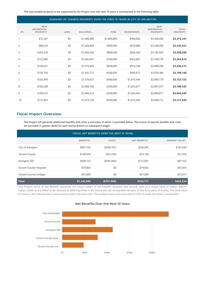The new taxable property to be supported by the Project over the next 10 years is summarized in the following table.

|     | SUMMARY OF TAXABLE PROPERTY OVER THE FIRST 10 YEARS IN CITY OF ARLINGTON |      |                  |             |                    |                                               |                                 |
|-----|--------------------------------------------------------------------------|------|------------------|-------------|--------------------|-----------------------------------------------|---------------------------------|
| YR. | <b>NEW</b><br><b>RESIDENTIAL</b><br><b>PROPERTY</b>                      | LAND | <b>BUILDINGS</b> | FF&E        | <b>INVENTORIES</b> | NON-<br><b>RESIDENTIAL</b><br><b>PROPERTY</b> | <b>TOTAL</b><br><b>PROPERTY</b> |
| 1   | \$72,347                                                                 | \$0  | \$1,400,000      | \$1,000,000 | \$900,000          | \$3,300,000                                   | \$3,372,347                     |
| 2   | \$88,553                                                                 | \$0  | \$1,428,000      | \$900,000   | \$918,000          | \$3,246,000                                   | \$3,334,553                     |
| 3   | \$105,378                                                                | \$0  | \$1,456,560      | \$800,000   | \$936,360          | \$3,192,920                                   | \$3,298,298                     |
| 4   | \$122,840                                                                | \$0  | \$1,485,691      | \$700,000   | \$955,087          | \$3,140,778                                   | \$3,263,619                     |
| 5   | \$156,621                                                                | \$0  | \$1,515,405      | \$600,000   | \$974,189          | \$3,089,594                                   | \$3,246,215                     |
| 6   | \$159,754                                                                | \$0  | \$1,545,713      | \$500,000   | \$993,673          | \$3,039,386                                   | \$3,199,140                     |
| 7   | \$162,949                                                                | \$0  | \$1,576,627      | \$400,000   | \$1,013,546        | \$2,990,174                                   | \$3,153,122                     |
| 8   | \$166,208                                                                | \$0  | \$1,608,160      | \$300,000   | \$1,033,817        | \$2,941,977                                   | \$3,108,185                     |
| 9   | \$169,532                                                                | \$0  | \$1,640,323      | \$200,000   | \$1,054,493        | \$2,894,817                                   | \$3,064,349                     |
| 10  | \$172,923                                                                | \$0  | \$1,673,130      | \$200,000   | \$1,075,583        | \$2,948,713                                   | \$3,121,636                     |

## **Fiscal Impact Overview**

The Project will generate additional benefits and costs, a summary of which is provided below. The source of specific benefits and costs are provided in greater detail for each taxing district on subsequent pages.

| FISCAL NET BENEFITS OVER THE NEXT 10 YEARS |                 |                |                     |                       |
|--------------------------------------------|-----------------|----------------|---------------------|-----------------------|
|                                            | <b>BENEFITS</b> | <b>COSTS</b>   | <b>NET BENEFITS</b> | <b>PRESENT VALUE*</b> |
| City of Arlington                          | \$497,726       | (\$260,781)    | \$236,945           | \$181,440             |
| <b>Tarrant County</b>                      | \$109,934       | (\$35,744)     | \$74,190            | \$57,558              |
| Arlington ISD                              | \$608,125       | $($ \$495,444) | \$112,681           | \$87,163              |
| <b>Tarrant County Hospital</b>             | \$79,002        | \$0            | \$79,002            | \$61,055              |
| <b>Tarrant County College</b>              | \$47,899        | \$0            | \$47,899            | \$37,017              |
| <b>Total</b>                               | \$1,342,686     | ( \$791, 969)  | \$550,717           | \$424,234             |

\*The Present Value of Net Benefits expresses the future stream of net benefits received over several years as a single value in today's dollars. Today's dollar and a dollar to be received at differing times in the future are not comparable because of the time value of money. The time value of money is the interest rate or each taxing entity's discount rate. This analysis uses a discount rate of 5.0% to make the dollars comparable.



#### **Net Benefits Over the Next 10 Years**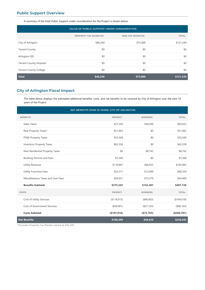## **Public Support Overview**

A summary of the total Public Support under consideration for the Project is shown below.

| VALUE OF PUBLIC SUPPORT UNDER CONSIDERATION |                        |                          |              |  |
|---------------------------------------------|------------------------|--------------------------|--------------|--|
|                                             | PROPERTY TAX INCENTIVE | <b>NON-TAX INCENTIVE</b> | <b>TOTAL</b> |  |
| City of Arlington                           | \$46,249               | \$75,000                 | \$121,249    |  |
| <b>Tarrant County</b>                       | \$0                    | \$0                      | \$0          |  |
| Arlington ISD                               | \$0                    | \$0                      | \$0          |  |
| <b>Tarrant County Hospital</b>              | \$0                    | \$0                      | \$0          |  |
| <b>Tarrant County College</b>               | \$0                    | \$0                      | \$0          |  |
| <b>Total</b>                                | \$46,249               | \$75,000                 | \$121,249    |  |

## **City of Arlington Fiscal Impact**

The table below displays the estimated additional benefits, costs, and net benefits to be received by City of Arlington over the next 10 years of the Project.

|                                   | NET BENEFITS OVER 10 YEARS: CITY OF ARLINGTON |                |              |
|-----------------------------------|-----------------------------------------------|----------------|--------------|
| <b>BENEFITS</b>                   | <b>PROJECT</b>                                | <b>WORKERS</b> | <b>TOTAL</b> |
| Sales Taxes                       | \$27,356                                      | \$38,296       | \$65,652     |
| Real Property Taxes*              | \$51,063                                      | \$0            | \$51,063     |
| FF&E Property Taxes               | \$35,549                                      | \$0            | \$35,549     |
| <b>Inventory Property Taxes</b>   | \$62,558                                      | \$0            | \$62,558     |
| New Residential Property Taxes    | \$0                                           | \$8,742        | \$8,742      |
| <b>Building Permits and Fees</b>  | \$7,500                                       | \$0            | \$7,500      |
| <b>Utility Revenue</b>            | \$118,967                                     | \$46,935       | \$165,902    |
| <b>Utility Franchise Fees</b>     | \$33,311                                      | \$13,049       | \$46,359     |
| Miscellaneous Taxes and User Fees | \$39,021                                      | \$15,379       | \$54,400     |
| <b>Benefits Subtotal</b>          | \$375,325                                     | \$122,401      | \$497,726    |
| <b>COSTS</b>                      | PROJECT                                       | <b>WORKERS</b> | <b>TOTAL</b> |
| Cost of Utility Services          | (\$118,015)                                   | (46,603)       | (\$164, 618) |
| Cost of Government Services       | $($ \$69,001)                                 | (\$27,163)     | ( \$96, 163) |
| <b>Costs Subtotal</b>             | (\$187,016)                                   | ( \$73, 765)   | (\$260,781)  |
| <b>Net Benefits</b>               | \$188,309                                     | \$48,636       | \$236,945    |

\*Excludes Property Tax Rebate valued at \$46,249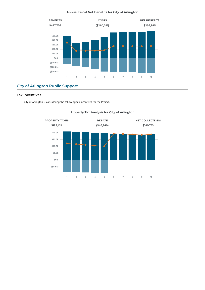#### **Annual Fiscal Net Benets for City of Arlington**



## **City of Arlington Public Support**

### **Tax Incentives**

City of Arlington is considering the following tax incentives for the Project.



## **Property Tax Analysis for City of Arlington**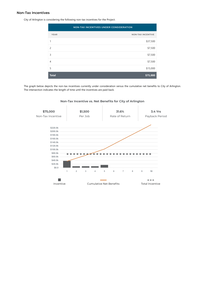#### **Non-Tax Incentives**

City of Arlington is considering the following non-tax incentives for the Project.

| NON-TAX INCENTIVES UNDER CONSIDERATION |                          |  |  |
|----------------------------------------|--------------------------|--|--|
| <b>YEAR</b>                            | <b>NON-TAX INCENTIVE</b> |  |  |
|                                        | \$37,500                 |  |  |
| $\mathcal{P}$                          | \$7,500                  |  |  |
| 3                                      | \$7,500                  |  |  |
| $\overline{4}$                         | \$7,500                  |  |  |
| 5                                      | \$15,000                 |  |  |
| <b>Total</b>                           | \$75,000                 |  |  |

The graph below depicts the non-tax incentives currently under consideration versus the cumulative net benefits to City of Arlington. The intersection indicates the length of time until the incentives are paid back.



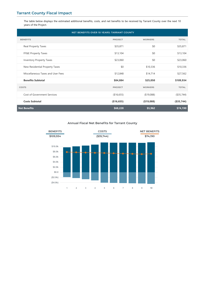## **Tarrant County Fiscal Impact**

The table below displays the estimated additional benefits, costs, and net benefits to be received by Tarrant County over the next 10 years of the Project.

| NET BENEFITS OVER 10 YEARS: TARRANT COUNTY |             |                |               |
|--------------------------------------------|-------------|----------------|---------------|
| <b>BENEFITS</b>                            | PROJECT     | <b>WORKERS</b> | <b>TOTAL</b>  |
| Real Property Taxes                        | \$35,871    | \$0            | \$35,871      |
| FF&E Property Taxes                        | \$13,104    | \$0            | \$13,104      |
| <b>Inventory Property Taxes</b>            | \$23,060    | \$0            | \$23,060      |
| New Residential Property Taxes             | \$0         | \$10,336       | \$10,336      |
| Miscellaneous Taxes and User Fees          | \$12,848    | \$14,714       | \$27,562      |
| <b>Benefits Subtotal</b>                   | \$84,884    | \$25,050       | \$109,934     |
| COSTS                                      | PROJECT     | <b>WORKERS</b> | <b>TOTAL</b>  |
| <b>Cost of Government Services</b>         | ( \$16,655) | ( \$19,088)    | $($ \$35,744) |
| <b>Costs Subtotal</b>                      | (\$16,655)  | ( \$19,088)    | $($ \$35,744) |
| <b>Net Benefits</b>                        | \$68,228    | \$5,962        | \$74,190      |

#### **Annual Fiscal Net Benets for Tarrant County**

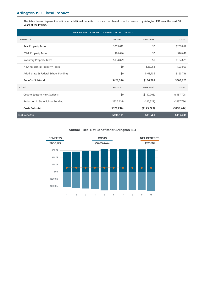The table below displays the estimated additional benefits, costs, and net benefits to be received by Arlington ISD over the next 10 years of the Project.

| NET BENEFITS OVER 10 YEARS: ARLINGTON ISD |                |                |                |
|-------------------------------------------|----------------|----------------|----------------|
| <b>BENEFITS</b>                           | <b>PROJECT</b> | <b>WORKERS</b> | <b>TOTAL</b>   |
| Real Property Taxes                       | \$209,812      | \$0            | \$209,812      |
| FF&E Property Taxes                       | \$76,646       | \$0            | \$76,646       |
| <b>Inventory Property Taxes</b>           | \$134,879      | \$0            | \$134,879      |
| New Residential Property Taxes            | \$0            | \$23,053       | \$23,053       |
| Addtl. State & Federal School Funding     | \$0            | \$163,736      | \$163,736      |
| <b>Benefits Subtotal</b>                  | \$421,336      | \$186,789      | \$608,125      |
| COSTS                                     | PROJECT        | <b>WORKERS</b> | <b>TOTAL</b>   |
| Cost to Educate New Students              | \$0            | (\$157,708)    | (\$157,708)    |
| Reduction in State School Funding         | (\$320,216)    | (\$17,521)     | (\$337,736)    |
| <b>Costs Subtotal</b>                     | (\$320,216)    | (\$175,229)    | $($ \$495,444) |
| <b>Net Benefits</b>                       | \$101,121      | \$11,561       | \$112,681      |

## **Annual Fiscal Net Benets for Arlington ISD**

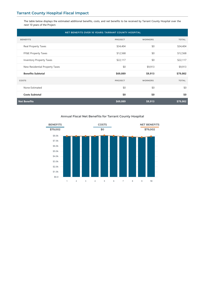## **Tarrant County Hospital Fiscal Impact**

The table below displays the estimated additional benefits, costs, and net benefits to be received by Tarrant County Hospital over the next 10 years of the Project.

| NET BENEFITS OVER 10 YEARS: TARRANT COUNTY HOSPITAL |          |                |              |
|-----------------------------------------------------|----------|----------------|--------------|
| <b>BENEFITS</b>                                     | PROJECT  | <b>WORKERS</b> | <b>TOTAL</b> |
| Real Property Taxes                                 | \$34,404 | \$0            | \$34,404     |
| FF&E Property Taxes                                 | \$12,568 | \$0            | \$12,568     |
| Inventory Property Taxes                            | \$22,117 | \$0            | \$22,117     |
| New Residential Property Taxes                      | \$0      | \$9,913        | \$9,913      |
| <b>Benefits Subtotal</b>                            | \$69,089 | \$9,913        | \$79,002     |
| COSTS                                               | PROJECT  | <b>WORKERS</b> | <b>TOTAL</b> |
| None Estimated                                      | \$0      | \$0            | \$0          |
| <b>Costs Subtotal</b>                               | \$0      | \$0            | \$0          |
| <b>Net Benefits</b>                                 | \$69,089 | \$9,913        | \$79,002     |

## **Annual Fiscal Net Benets for Tarrant County Hospital**

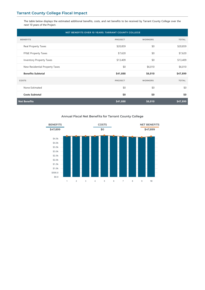## **Tarrant County College Fiscal Impact**

The table below displays the estimated additional benefits, costs, and net benefits to be received by Tarrant County College over the next 10 years of the Project.

| NET BENEFITS OVER 10 YEARS: TARRANT COUNTY COLLEGE |          |                |              |
|----------------------------------------------------|----------|----------------|--------------|
| <b>BENEFITS</b>                                    | PROJECT  | <b>WORKERS</b> | <b>TOTAL</b> |
| Real Property Taxes                                | \$20,859 | \$0            | \$20,859     |
| FF&E Property Taxes                                | \$7,620  | \$0            | \$7,620      |
| <b>Inventory Property Taxes</b>                    | \$13,409 | \$0            | \$13,409     |
| New Residential Property Taxes                     | \$0      | \$6,010        | \$6,010      |
| <b>Benefits Subtotal</b>                           | \$41,888 | \$6,010        | \$47,899     |
| COSTS                                              | PROJECT  | <b>WORKERS</b> | <b>TOTAL</b> |
| None Estimated                                     | \$0      | \$0            | \$0          |
| <b>Costs Subtotal</b>                              | \$0      | \$0            | \$0          |
| <b>Net Benefits</b>                                | \$41,888 | \$6,010        | \$47,899     |

## **Annual Fiscal Net Benets for Tarrant County College**